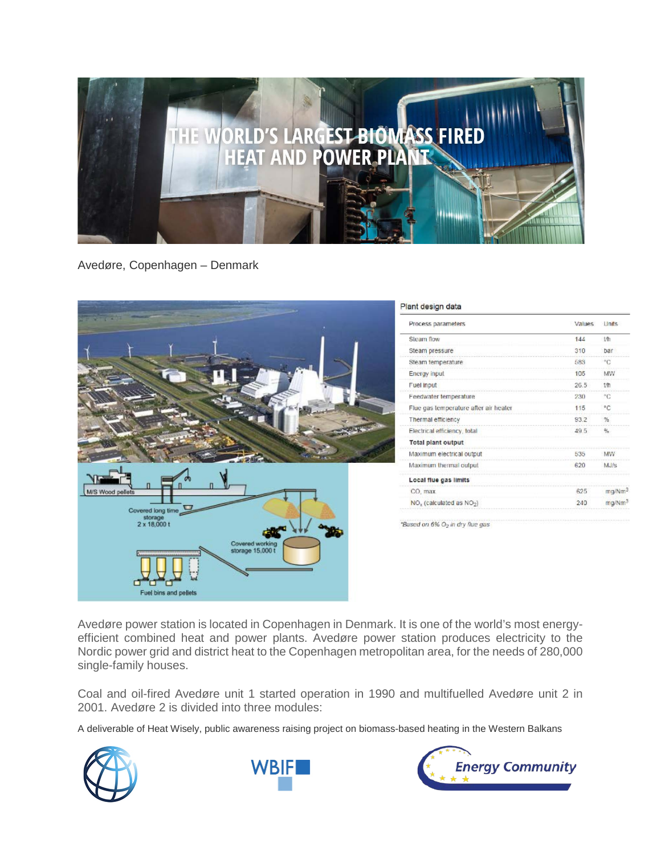

Avedøre, Copenhagen – Denmark



Avedøre power station is located in Copenhagen in Denmark. It is one of the world's most energyefficient combined heat and power plants. Avedøre power station produces electricity to the Nordic power grid and district heat to the Copenhagen metropolitan area, for the needs of 280,000 single-family houses.

Coal and oil-fired Avedøre unit 1 started operation in 1990 and multifuelled Avedøre unit 2 in 2001. Avedøre 2 is divided into three modules:

A deliverable of Heat Wisely, public awareness raising project on biomass-based heating in the Western Balkans